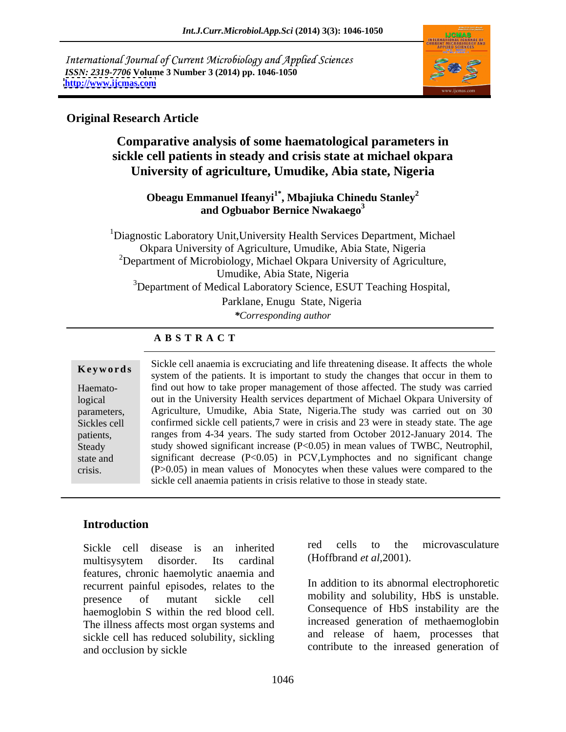International Journal of Current Microbiology and Applied Sciences *ISSN: 2319-7706* **Volume 3 Number 3 (2014) pp. 1046-1050 <http://www.ijcmas.com>**



## **Original Research Article**

**Comparative analysis of some haematological parameters in sickle cell patients in steady and crisis state at michael okpara University of agriculture, Umudike, Abia state, Nigeria**

## **Obeagu Emmanuel Ifeanyi1\* , Mbajiuka Chinedu Stanley<sup>2</sup> and Ogbuabor Bernice Nwakaego<sup>3</sup>**

1Diagnostic Laboratory Unit,University Health Services Department, Michael Okpara University of Agriculture, Umudike, Abia State, Nigeria  $2D$ epartment of Microbiology, Michael Okpara University of Agriculture, Umudike, Abia State, Nigeria <sup>3</sup>Department of Medical Laboratory Science, ESUT Teaching Hospital, Parklane, Enugu State, Nigeria *\*Corresponding author*

## **A B S T R A C T**

Haemato-

**Keywords**<br>
system of the patients. It is important to study the changes that occur in them to logical out in the University Health services department of Michael Okpara University of parameters, Agriculture, Umudike, Abia State, Nigeria.The study was carried out on 30 Sickles cell confirmed sickle cell patients,7 were in crisis and 23 were in steady state. The age patients, ranges from 4-34 years. The sudy started from October 2012-January 2014. The Steady study showed significant increase (P<0.05) in mean values of TWBC, Neutrophil, Steady study showed significant increase (P<0.05) in mean values of TWBC, Neutrophil, significant decrease (P<0.05) in PCV, Lymphoctes and no significant change crisis. (P>0.05) in mean values of Monocytes when these values were compared to the Sickle cell anaemia is excruciating and life threatening disease. It affects the whole find out how to take proper management of those affected. The study was carried sickle cell anaemia patients in crisis relative to those in steady state.

# **Introduction**

Sickle cell disease is an inherited red cells to the microvasculature multisysytem disorder. Its cardinal (Hoffbrand *et al.* 2001). features, chronic haemolytic anaemia and recurrent painful episodes, relates to the presence of mutant sickle cell mobility and solubility, HbS is unstable. haemoglobin S within the red blood cell. The illness affects most organ systems and sickle cell has reduced solubility, sickling and occlusion by sickle  $\sim$  contribute to the inreased generation of

red cells to the microvasculature (Hoffbrand *et al*,2001).

In addition to its abnormal electrophoretic Consequence of HbS instability are the increased generation of methaemoglobin and release of haem, processes that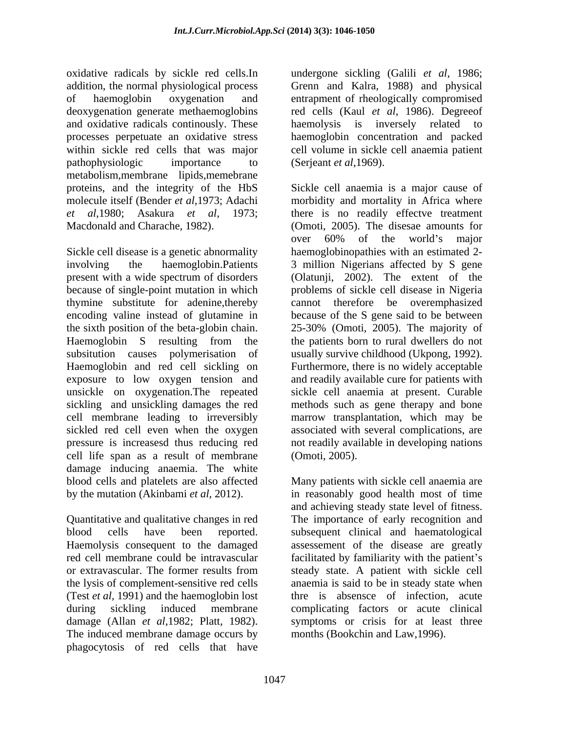oxidative radicals by sickle red cells.In undergone sickling (Galili *et al*, 1986; addition, the normal physiological process of haemoglobin oxygenation and entrapment of rheologically compromised deoxygenation generate methaemoglobins red cells (Kaul *et al*, 1986). Degreeof and oxidative radicals continously. These haemolysis is inversely related to processes perpetuate an oxidative stress haemoglobin concentration and packed within sickle red cells that was major cell volume in sickle cell anaemia patient pathophysiologic importance to (Serjeant *et al*, 1969). metabolism,membrane lipids,memebrane proteins, and the integrity of the HbS

Sickle cell disease is a genetic abnormality involving the haemoglobin.Patients 3 million Nigerians affected by S gene present with a wide spectrum of disorders (Olatunji, 2002). The extent of the because of single-point mutation in which problems of sickle cell disease in Nigeria thymine substitute for adenine,thereby cannot therefore be overemphasized encoding valine instead of glutamine in because of the S gene said to be between the sixth position of the beta-globin chain. 25-30% (Omoti, 2005). The majority of Haemoglobin S resulting from the the patients born to rural dwellers do not subsitution causes polymerisation of usually survive childhood (Ukpong, 1992). Haemoglobin and red cell sickling on Furthermore, there is no widely acceptable exposure to low oxygen tension and unsickle on oxygenation.The repeated sickle cell anaemia at present. Curable sickling and unsickling damages the red methods such as gene therapy and bone cell membrane leading to irreversibly marrow transplantation, which may be sickled red cell even when the oxygen associated with several complications, are pressure is increasesd thus reducing red not readily available in developing nations cell life span as a result of membrane damage inducing anaemia. The white blood cells and platelets are also affected

Quantitative and qualitative changes in red The importance of early recognition and blood cells have been reported. subsequent clinical and haematological Haemolysis consequent to the damaged assessement of the disease are greatly red cell membrane could be intravascular facilitated by familiarity with the patient's or extravascular. The former results from the lysis of complement-sensitive red cells (Test *et al,* 1991) and the haemoglobin lost thre is absensce of infection, acute during sickling induced membrane complicating factors or acute clinical damage (Allan *et al*,1982; Platt, 1982). symptoms or crisis for at least three The induced membrane damage occurs by phagocytosis of red cells that have

Grenn and Kalra, 1988) and physical haemolysis is inversely related to (Serjeant *et al*,1969).

molecule itself (Bender *et al*,1973; Adachi morbidity and mortality in Africa where *et al*,1980; Asakura *et al*, 1973; there is no readily effectve treatment Macdonald and Charache, 1982). (Omoti, 2005). The disesae amounts for Sickle cell anaemia is a major cause of over 60% of the world's major haemoglobinopathies with an estimated 2 and readily available cure for patients with (Omoti, 2005).

by the mutation (Akinbami *et al*, 2012). in reasonably good health most of time Many patients with sickle cell anaemia are and achieving steady state level of fitness. steady state. A patient with sickle cell anaemia is said to be in steady state when months (Bookchin and Law,1996).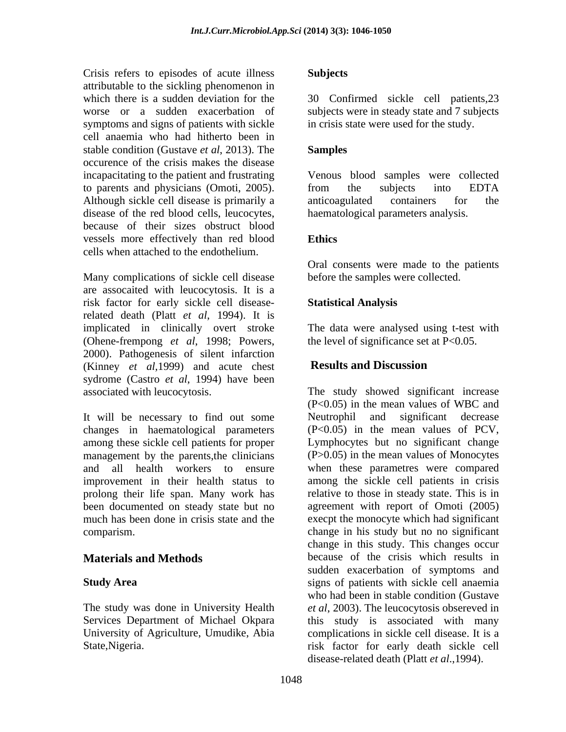Crisis refers to episodes of acute illness Subjects attributable to the sickling phenomenon in which there is a sudden deviation for the 30 Confirmed sickle cell patients,23 worse or a sudden exacerbation of subjects were in steady state and 7 subjects symptoms and signs of patients with sickle cell anaemia who had hitherto been in stable condition (Gustave *et al*, 2013). The occurence of the crisis makes the disease incapacitating to the patient and frustrating to parents and physicians (Omoti, 2005). Although sickle cell disease is primarily a anticoagulated containers for the disease of the red blood cells, leucocytes, because of their sizes obstruct blood vessels more effectively than red blood cells when attached to the endothelium.

Many complications of sickle cell disease are assocaited with leucocytosis. It is a risk factor for early sickle cell disease-<br>
Statistical Analysis related death (Platt *et al*, 1994). It is implicated in clinically overt stroke The data were analysed using t-test with (Ohene-frempong *et al*, 1998; Powers, 2000). Pathogenesis of silent infarction (Kinney *et al,*1999) and acute chest sydrome (Castro *et al*, 1994) have been

It will be necessary to find out some Neutrophil changes in haematological parameters among these sickle cell patients for proper Lymphocytes but no significant change management by the parents, the clinicians (P>0.05) in the mean values of Monocytes and all health workers to ensure when these parametres were compared improvement in their health status to among the sickle cell patients in crisis prolong their life span. Many work has been documented on steady state but no agreement with report of Omoti (2005) much has been done in crisis state and the execpt the monocyte which had significant

### **Subjects**

in crisis state were used for the study.

### **Samples**

Venous blood samples were collected from the subjects into EDTA anticoagulated containers for the haematological parameters analysis.

## **Ethics**

Oral consents were made to the patients before the samples were collected.

## **Statistical Analysis**

the level of significance set at  $P<0.05$ .

## **Results and Discussion**

associated with leucocytosis. The study showed significant increase comparism. change in his study but no no significant **Materials and Methods** because of the crisis which results in **Study Area** Study Area **signs of patients with sickle cell anaemia** The study was done in University Health *et al*, 2003). The leucocytosis obsereved in Services Department of Michael Okpara this study is associated with many University of Agriculture, Umudike, Abia complications in sickle cell disease. It is a State,Nigeria. risk factor for early death sickle cell (P<0.05) in the mean values of WBC and and significant decrease (P<0.05) in the mean values of PCV, relative to those in steady state. This is in change in this study. This changes occur sudden exacerbation of symptoms and who had been in stable condition (Gustave disease-related death (Platt *et al*.,1994).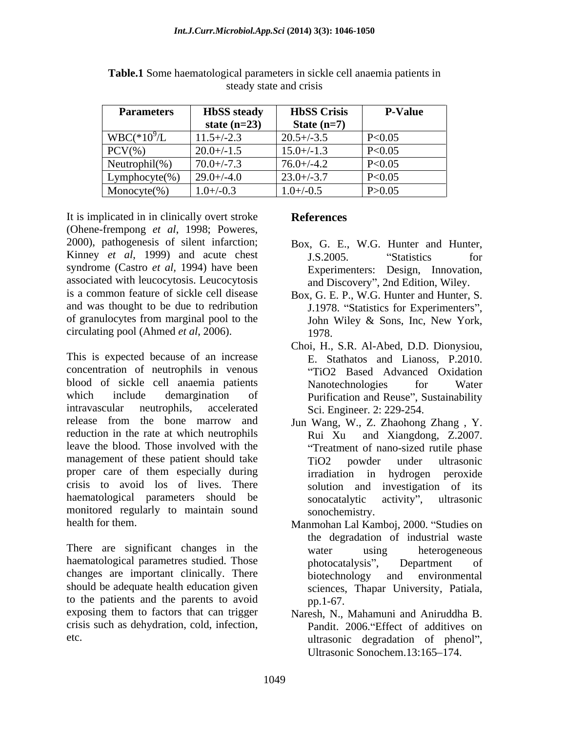| <b>Parameters</b>  | <b>HbSS</b> steady | <b>HbSS Crisis</b> | <b>P-Value</b> |
|--------------------|--------------------|--------------------|----------------|
|                    | state $(n=23)$     | State $(n=7)$      |                |
| $WBC(*109/L)$      | $11.5 + (-2.3)$    | $20.5 + (-3.5)$    | P<0.05         |
| $PCV(\%)$          | $20.0 + (-1.5)$    | $15.0 + (-1.3)$    | P<0.05         |
| Neutrophil $(\% )$ | $70.0 + (-7.3)$    | $76.0 + (-4.2)$    | P<0.05         |
| $Lymphocyte(\% )$  | $29.0 + (-4.0$     | $23.0 + (-3.7)$    | P<0.05         |
| Monocyte $(\%)$    | $1.0 + (-0.3)$     | $1.0 + (-0.5)$     | P > 0.05       |

**Table.1** Some haematological parameters in sickle cell anaemia patients in steady state and crisis steady state and crisis

It is implicated in in clinically overt stroke **References** (Ohene-frempong *et al*, 1998; Poweres, 2000), pathogenesis of silent infarction; Box, G. E., W.G. Hunter and Hunter, Kinney *et al*, 1999) and acute chest 1.S. 2005. "Statistics for syndrome (Castro *et al,* 1994) have been associated with leucocytosis. Leucocytosis and Discovery", 2nd Edition, Wiley. is a common feature of sickle cell disease Box, G. E. P., W.G. Hunter and Hunter, S. and was thought to be due to redribution of granulocytes from marginal pool to the John Wiley & Sons, Inc. New York, circulating pool (Ahmed *et al*, 2006).

This is expected because of an increase concentration of neutrophils in venous blood of sickle cell anaemia patients which include demargination of Purification and Reuse", Sustainability intravascular neutrophils, accelerated Sci. Engineer. 2: 229-254. release from the bone marrow and Jun Wang, W., Z. Zhaohong Zhang , Y. reduction in the rate at which neutrophils Rui Xu leave the blood. Those involved with the Treatment of nano-sized rutile phase management of these patient should take TiO2 powder under ultrasonic proper care of them especially during irradiation in hydrogen peroxide crisis to avoid los of lives. There solution and investigation of its haematological parameters should be sonocatalytic activity", ultrasonic monitored regularly to maintain sound

There are significant changes in the water using heterogeneous haematological parametres studied. Those bhotocatalysis", Department of changes are important clinically. There biotechnology and environmental should be adequate health education given to the patients and the parents to avoid pp.1-67. exposing them to factors that can trigger Naresh, N., Mahamuni and Aniruddha B. crisis such as dehydration, cold, infection, Pandit. 2006. Effect of additives on

# **References**

- J.S.2005. "Statistics for Experimenters: Design, Innovation,
- J.1978. "Statistics for Experimenters", John Wiley & Sons, Inc, New York, 1978.
- Choi, H., S.R. Al-Abed, D.D. Dionysiou, E. Stathatos and Lianoss, P.2010. TiO2 Based Advanced Oxidation Nanotechnologies for Water
- and Xiangdong, Z.2007. TiO2 powder under ultrasonic irradiation in hydrogen peroxide sonocatalytic activity", ultrasonic sonochemistry.
- health for them.<br>
Manmohan Lal Kamboj, 2000. "Studies on the degradation of industrial waste water using heterogeneous photocatalysis", Department of biotechnology and environmental sciences, Thapar University, Patiala, pp.1-67.
- etc. The extension of the extension of the extension of phenol", Ultrasonic Sonochem.13:165-174.